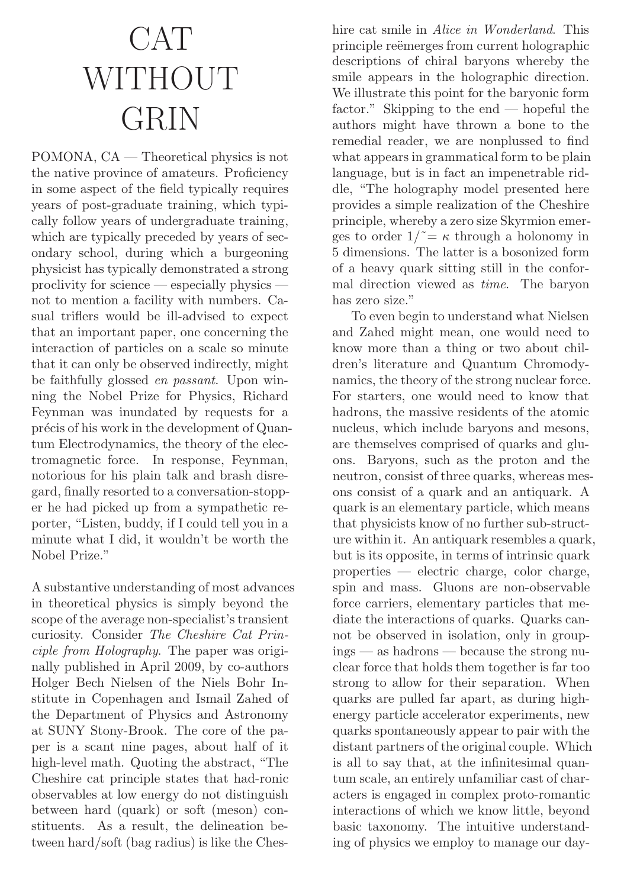## CAT WITHOUT WITHOUT GRIN

POMONA, CA — Theoretical physics is not the native province of amateurs. Proficiency the native province of amateurs. Proficiency in some aspect of the field typically requires in some aspect of the field typically requires years of post-graduate training, which typically follow years of undergraduate training, cally follow years of undergraduate training, which are typically preceded by years of sec-which are typically preceded by years of secondary school, during which a burgeoning ondary school, during which a burgeoning physicist has typically demonstrated a strong physicist has typically demonstrated a strong proclivity for science — especially physics not to mention a facility with numbers. Casual triflers would be ill-advised to expect that an important paper, one concerning the interaction of particles on a scale so minute that it can only be observed indirectly, might be faithfully glossed en passant. Upon winning the Nobel Prize for Physics, Richard Feynman was inundated by requests for a précis of his work in the development of Quantum Electrodynamics, the theory of the electromagnetic force. In response, Feynman, notorious for his plain talk and brash disregard, finally resorted to a conversation-stopper he had picked up from a sympathetic reporter, "Listen, buddy, if I could tell you in a minute what I did, it wouldn't be worth the Nobel Prize."

A substantive understanding of most advances in theoretical physics is simply beyond the scope of the average non-specialist's transient curiosity. Consider The Cheshire Cat Principle from Holography. The paper was originally published in April 2009, by co-authors Holger Bech Nielsen of the Niels Bohr Institute in Copenhagen and Ismail Zahed of the Department of Physics and Astronomy at SUNY Stony-Brook. The core of the paper is a scant nine pages, about half of it high-level math. Quoting the abstract, "The Cheshire cat principle states that had-ronic observables at low energy do not distinguish between hard (quark) or soft (meson) constituents. As a result, the delineation between hard/soft (bag radius) is like the Cheshire cat smile in Alice in Wonderland. This principle reëmerges from current holographic descriptions of chiral baryons whereby the smile appears in the holographic direction. We illustrate this point for the baryonic form factor." Skipping to the end — hopeful the authors might have thrown a bone to the remedial reader, we are nonplussed to find what appears in grammatical form to be plain language, but is in fact an impenetrable riddle, "The holography model presented here provides a simple realization of the Cheshire principle, whereby a zero size Skyrmion emerges to order  $1/\tilde{} = \kappa$  through a holonomy in 5 dimensions. The latter is a bosonized form of a heavy quark sitting still in the conformal direction viewed as time. The baryon has zero size."

To even begin to understand what Nielsen and Zahed might mean, one would need to know more than a thing or two about children's literature and Quantum Chromodynamics, the theory of the strong nuclear force. For starters, one would need to know that hadrons, the massive residents of the atomic nucleus, which include baryons and mesons, are themselves comprised of quarks and gluons. Baryons, such as the proton and the neutron, consist of three quarks, whereas mesons consist of a quark and an antiquark. A quark is an elementary particle, which means that physicists know of no further sub-structure within it. An antiquark resembles a quark, but is its opposite, in terms of intrinsic quark properties — electric charge, color charge, spin and mass. Gluons are non-observable force carriers, elementary particles that mediate the interactions of quarks. Quarks cannot be observed in isolation, only in groupings — as hadrons — because the strong nuclear force that holds them together is far too strong to allow for their separation. When quarks are pulled far apart, as during highenergy particle accelerator experiments, new quarks spontaneously appear to pair with the distant partners of the original couple. Which is all to say that, at the infinitesimal quantum scale, an entirely unfamiliar cast of characters is engaged in complex proto-romantic interactions of which we know little, beyond basic taxonomy. The intuitive understanding of physics we employ to manage our day-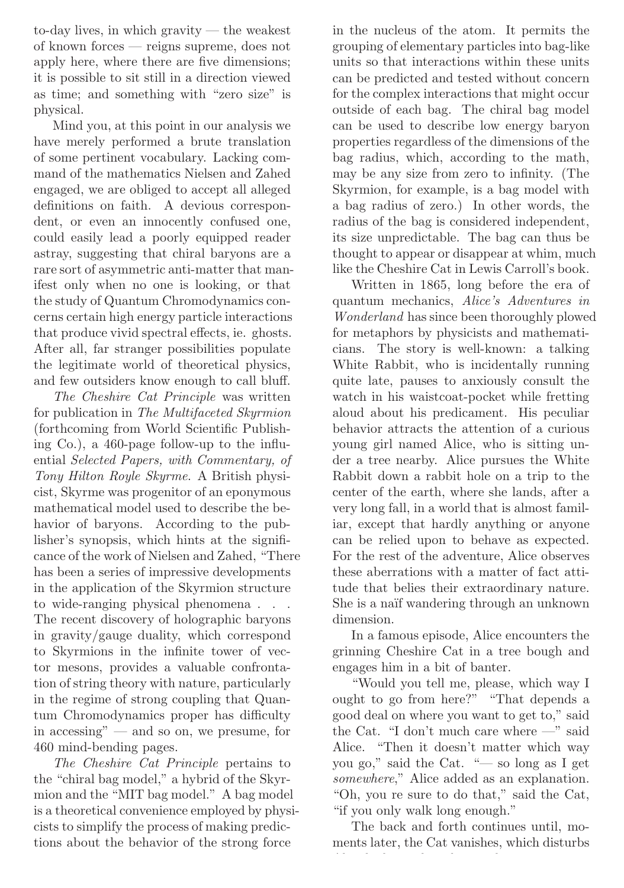ing of physics we employ to manage our dayto-day lives, in which gravity — the weakest of known forces — reigns supreme, does not apply here, where there are five dimensions; it is possible to sit still in a direction viewed as time; and something with "zero size" is physical.

Mind you, at this point in our analysis we have merely performed a brute translation of some pertinent vocabulary. Lacking command of the mathematics Nielsen and Zahed engaged, we are obliged to accept all alleged definitions on faith. A devious correspondent, or even an innocently confused one, could easily lead a poorly equipped reader astray, suggesting that chiral baryons are a rare sort of asymmetric anti-matter that manifest only when no one is looking, or that the study of Quantum Chromodynamics concerns certain high energy particle interactions that produce vivid spectral effects, ie. ghosts. After all, far stranger possibilities populate the legitimate world of theoretical physics, and few outsiders know enough to call bluff.

The Cheshire Cat Principle was written for publication in The Multifaceted Skyrmion (forthcoming from World Scientific Publishing Co.), a 460-page follow-up to the influential Selected Papers, with Commentary, of Tony Hilton Royle Skyrme. A British physicist, Skyrme was progenitor of an eponymous mathematical model used to describe the behavior of baryons. According to the publisher's synopsis, which hints at the significance of the work of Nielsen and Zahed, "There has been a series of impressive developments in the application of the Skyrmion structure to wide-ranging physical phenomena . . . The recent discovery of holographic baryons in gravity/gauge duality, which correspond to Skyrmions in the infinite tower of vector mesons, provides a valuable confrontation of string theory with nature, particularly in the regime of strong coupling that Quantum Chromodynamics proper has difficulty in accessing" — and so on, we presume, for 460 mind-bending pages.

The Cheshire Cat Principle pertains to the "chiral bag model," a hybrid of the Skyrmion and the "MIT bag model." A bag model is a theoretical convenience employed by physicists to simplify the process of making predictions about the behavior of the strong force

in the nucleus of the atom. It permits the grouping of elementary particles into bag-like units so that interactions within these units can be predicted and tested without concern for the complex interactions that might occur outside of each bag. The chiral bag model can be used to describe low energy baryon properties regardless of the dimensions of the bag radius, which, according to the math, may be any size from zero to infinity. (The Skyrmion, for example, is a bag model with a bag radius of zero.) In other words, the radius of the bag is considered independent, its size unpredictable. The bag can thus be thought to appear or disappear at whim, much like the Cheshire Cat in Lewis Carroll's book.

Written in 1865, long before the era of quantum mechanics, Alice's Adventures in Wonderland has since been thoroughly plowed for metaphors by physicists and mathematicians. The story is well-known: a talking White Rabbit, who is incidentally running quite late, pauses to anxiously consult the watch in his waistcoat-pocket while fretting aloud about his predicament. His peculiar behavior attracts the attention of a curious young girl named Alice, who is sitting under a tree nearby. Alice pursues the White Rabbit down a rabbit hole on a trip to the center of the earth, where she lands, after a very long fall, in a world that is almost familiar, except that hardly anything or anyone can be relied upon to behave as expected. For the rest of the adventure, Alice observes these aberrations with a matter of fact attitude that belies their extraordinary nature. She is a naïf wandering through an unknown dimension.

In a famous episode, Alice encounters the grinning Cheshire Cat in a tree bough and engages him in a bit of banter.

"Would you tell me, please, which way I ought to go from here?" "That depends a good deal on where you want to get to," said the Cat. "I don't much care where  $\rightarrow$ " said Alice. "Then it doesn't matter which way you go," said the Cat. "— so long as I get somewhere," Alice added as an explanation. "Oh, you re sure to do that," said the Cat, "if you only walk long enough."

The back and forth continues until, moments later, the Cat vanishes, which disturbs  $A$  is by now becoming accused as she is by now becoming accus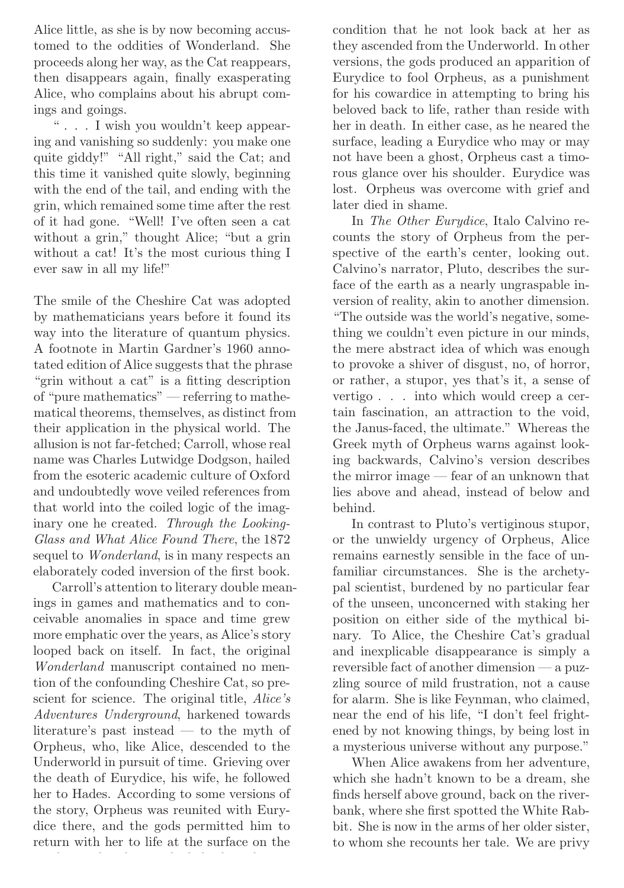Alice little, as she is by now becoming accustomed to the oddities of Wonderland. She proceeds along her way, as the Cat reappears, then disappears again, finally exasperating Alice, who complains about his abrupt comings and goings.

" . . . I wish you wouldn't keep appearing and vanishing so suddenly: you make one quite giddy!" "All right," said the Cat; and this time it vanished quite slowly, beginning with the end of the tail, and ending with the grin, which remained some time after the rest of it had gone. "Well! I've often seen a cat without a grin," thought Alice; "but a grin" without a cat! It's the most curious thing I ever saw in all my life!"

The smile of the Cheshire Cat was adopted by mathematicians years before it found its way into the literature of quantum physics. A footnote in Martin Gardner's 1960 annotated edition of Alice suggests that the phrase "grin without a cat" is a fitting description of "pure mathematics" — referring to mathematical theorems, themselves, as distinct from their application in the physical world. The allusion is not far-fetched; Carroll, whose real name was Charles Lutwidge Dodgson, hailed from the esoteric academic culture of Oxford and undoubtedly wove veiled references from that world into the coiled logic of the imaginary one he created. Through the Looking-Glass and What Alice Found There, the 1872 sequel to *Wonderland*, is in many respects an elaborately coded inversion of the first book.

Carroll's attention to literary double meanings in games and mathematics and to conceivable anomalies in space and time grew more emphatic over the years, as Alice's story looped back on itself. In fact, the original Wonderland manuscript contained no mention of the confounding Cheshire Cat, so prescient for science. The original title, Alice's Adventures Underground, harkened towards literature's past instead — to the myth of Orpheus, who, like Alice, descended to the Underworld in pursuit of time. Grieving over the death of Eurydice, his wife, he followed her to Hades. According to some versions of the story, Orpheus was reunited with Eurydice there, and the gods permitted him to return with her to life at the surface on the

condition that he not look back at her as

condition that he not look back at her as they ascended from the Underworld. In other versions, the gods produced an apparition of Eurydice to fool Orpheus, as a punishment for his cowardice in attempting to bring his beloved back to life, rather than reside with her in death. In either case, as he neared the surface, leading a Eurydice who may or may not have been a ghost, Orpheus cast a timorous glance over his shoulder. Eurydice was lost. Orpheus was overcome with grief and later died in shame.

In The Other Eurydice, Italo Calvino recounts the story of Orpheus from the perspective of the earth's center, looking out. Calvino's narrator, Pluto, describes the surface of the earth as a nearly ungraspable inversion of reality, akin to another dimension. "The outside was the world's negative, something we couldn't even picture in our minds, the mere abstract idea of which was enough to provoke a shiver of disgust, no, of horror, or rather, a stupor, yes that's it, a sense of vertigo . . . into which would creep a certain fascination, an attraction to the void, the Janus-faced, the ultimate." Whereas the Greek myth of Orpheus warns against looking backwards, Calvino's version describes the mirror image — fear of an unknown that lies above and ahead, instead of below and behind.

In contrast to Pluto's vertiginous stupor, or the unwieldy urgency of Orpheus, Alice remains earnestly sensible in the face of unfamiliar circumstances. She is the archetypal scientist, burdened by no particular fear of the unseen, unconcerned with staking her position on either side of the mythical binary. To Alice, the Cheshire Cat's gradual and inexplicable disappearance is simply a reversible fact of another dimension — a puzzling source of mild frustration, not a cause for alarm. She is like Feynman, who claimed, near the end of his life, "I don't feel frightened by not knowing things, by being lost in a mysterious universe without any purpose."

When Alice awakens from her adventure, which she hadn't known to be a dream, she finds herself above ground, back on the riverbank, where she first spotted the White Rabbit. She is now in the arms of her older sister, to whom she recounts her tale. We are privy